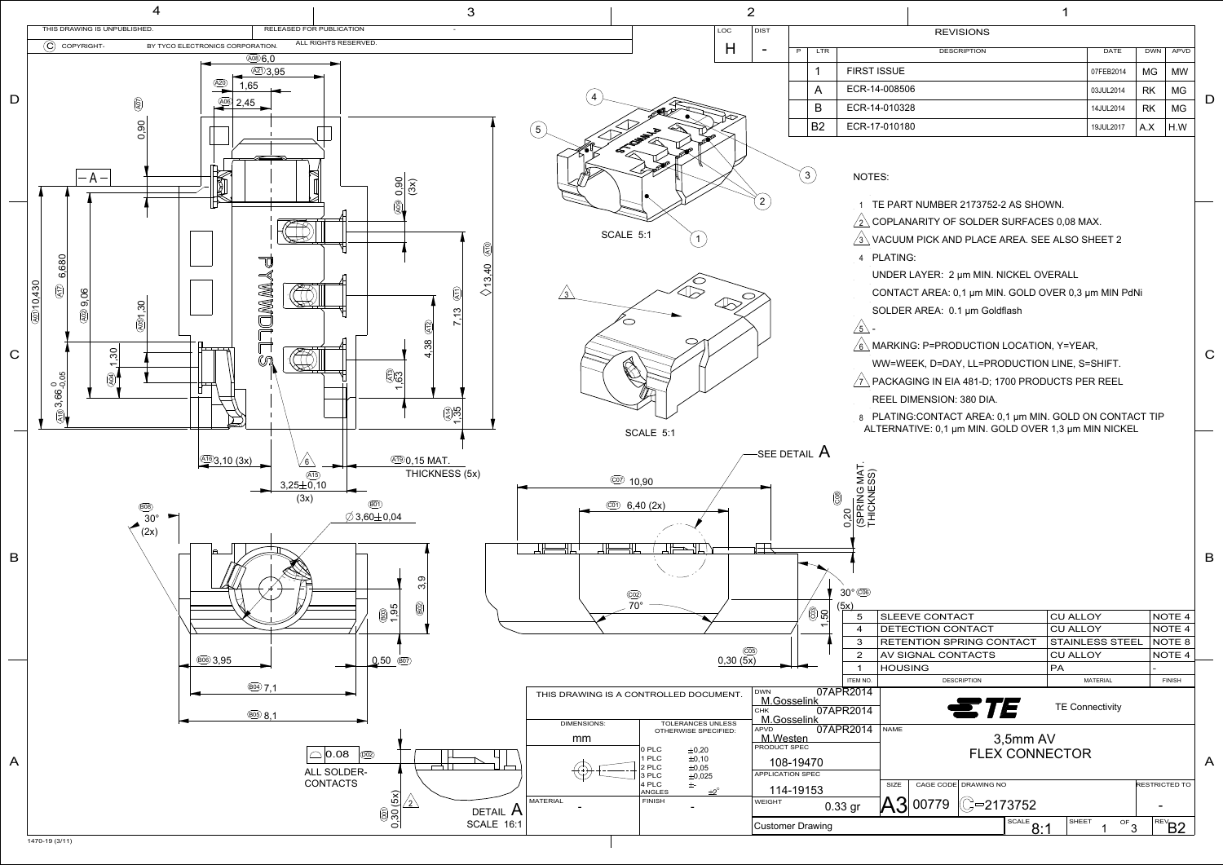A



|      | AGE CODE  DRAWING NO | <b>RESTRICTED TO</b> |              |    |  |            |
|------|----------------------|----------------------|--------------|----|--|------------|
| 0779 |                      | $= 2173752$          |              |    |  |            |
|      |                      | <b>SCALE</b>         | <b>SHEET</b> | OF |  | <b>REV</b> |
|      |                      |                      |              |    |  |            |

## 3,5mm AV FLEX CONNECTOR

| 5        | <b>SLEEVE CONTACT</b>           | <b>CU ALLOY</b>        | NOTE <sub>4</sub> |
|----------|---------------------------------|------------------------|-------------------|
| 4        | DETECTION CONTACT               | <b>CU ALLOY</b>        | NOTE <sub>4</sub> |
| 3        | <b>RETENTION SPRING CONTACT</b> | <b>STAINLESS STEEL</b> | NOTE 8            |
| 2        | AV SIGNAL CONTACTS              | <b>CU ALLOY</b>        | NOTE <sub>4</sub> |
| 1        | <b>HOUSING</b>                  | <b>PA</b>              |                   |
| ITEM NO. | <b>DESCRIPTION</b>              | <b>MATERIAL</b>        | <b>FINISH</b>     |
| १२०१४    |                                 |                        |                   |
| ៱៱៱៱     |                                 | <b>TE Connectivity</b> |                   |

|   |                           | <b>REVISIONS</b>                                                                                                |           |            |             |   |
|---|---------------------------|-----------------------------------------------------------------------------------------------------------------|-----------|------------|-------------|---|
| P | <b>LTR</b>                | <b>DESCRIPTION</b>                                                                                              | DATE      | <b>DWN</b> | <b>APVD</b> |   |
|   | 1                         | <b>FIRST ISSUE</b>                                                                                              | 07FEB2014 | MG.        | MW          |   |
|   | A                         | ECR-14-008506                                                                                                   | 03JUL2014 | RK         | MG          |   |
|   | B                         | ECR-14-010328                                                                                                   | 14JUL2014 | <b>RK</b>  | МG          | D |
|   | <b>B2</b>                 | ECR-17-010180                                                                                                   | 19JUL2017 | A.X        | H.W         |   |
|   |                           |                                                                                                                 |           |            |             |   |
|   |                           | NOTES:                                                                                                          |           |            |             |   |
|   |                           | TE PART NUMBER 2173752-2 AS SHOWN.<br>1                                                                         |           |            |             |   |
|   |                           | COPLANARITY OF SOLDER SURFACES 0,08 MAX.                                                                        |           |            |             |   |
|   |                           | VACUUM PICK AND PLACE AREA. SEE ALSO SHEET 2                                                                    |           |            |             |   |
|   |                           | 4 PLATING:                                                                                                      |           |            |             |   |
|   |                           | UNDER LAYER: 2 µm MIN. NICKEL OVERALL                                                                           |           |            |             |   |
|   |                           | CONTACT AREA: 0,1 µm MIN. GOLD OVER 0,3 µm MIN PdNi                                                             |           |            |             |   |
|   |                           | SOLDER AREA: 0.1 µm Goldflash                                                                                   |           |            |             |   |
|   |                           | $\sqrt{5}$                                                                                                      |           |            |             |   |
|   |                           | MARKING: P=PRODUCTION LOCATION, Y=YEAR,                                                                         |           |            |             | C |
|   |                           | WW=WEEK, D=DAY, LL=PRODUCTION LINE, S=SHIFT.                                                                    |           |            |             |   |
|   |                           | PACKAGING IN EIA 481-D; 1700 PRODUCTS PER REEL                                                                  |           |            |             |   |
|   |                           | REEL DIMENSION: 380 DIA.                                                                                        |           |            |             |   |
|   |                           | 8 PLATING:CONTACT AREA: 0,1 µm MIN. GOLD ON CONTACT TIP<br>ALTERNATIVE: 0,1 µm MIN. GOLD OVER 1,3 µm MIN NICKEL |           |            |             |   |
|   | $r$ ail $\bm{\mathsf{A}}$ |                                                                                                                 |           |            |             |   |
|   |                           | ≤ ທີ                                                                                                            |           |            |             |   |
|   |                           |                                                                                                                 |           |            |             |   |
|   |                           | (SPRING M<br>THICKNES<br>$\circledS$                                                                            |           |            |             |   |
|   |                           | 0,20                                                                                                            |           |            |             |   |
|   |                           |                                                                                                                 |           |            |             |   |
|   |                           |                                                                                                                 |           |            |             | B |
|   |                           |                                                                                                                 |           |            |             |   |
|   |                           | 30° COB                                                                                                         |           |            |             |   |
|   |                           | (5x)                                                                                                            |           |            |             |   |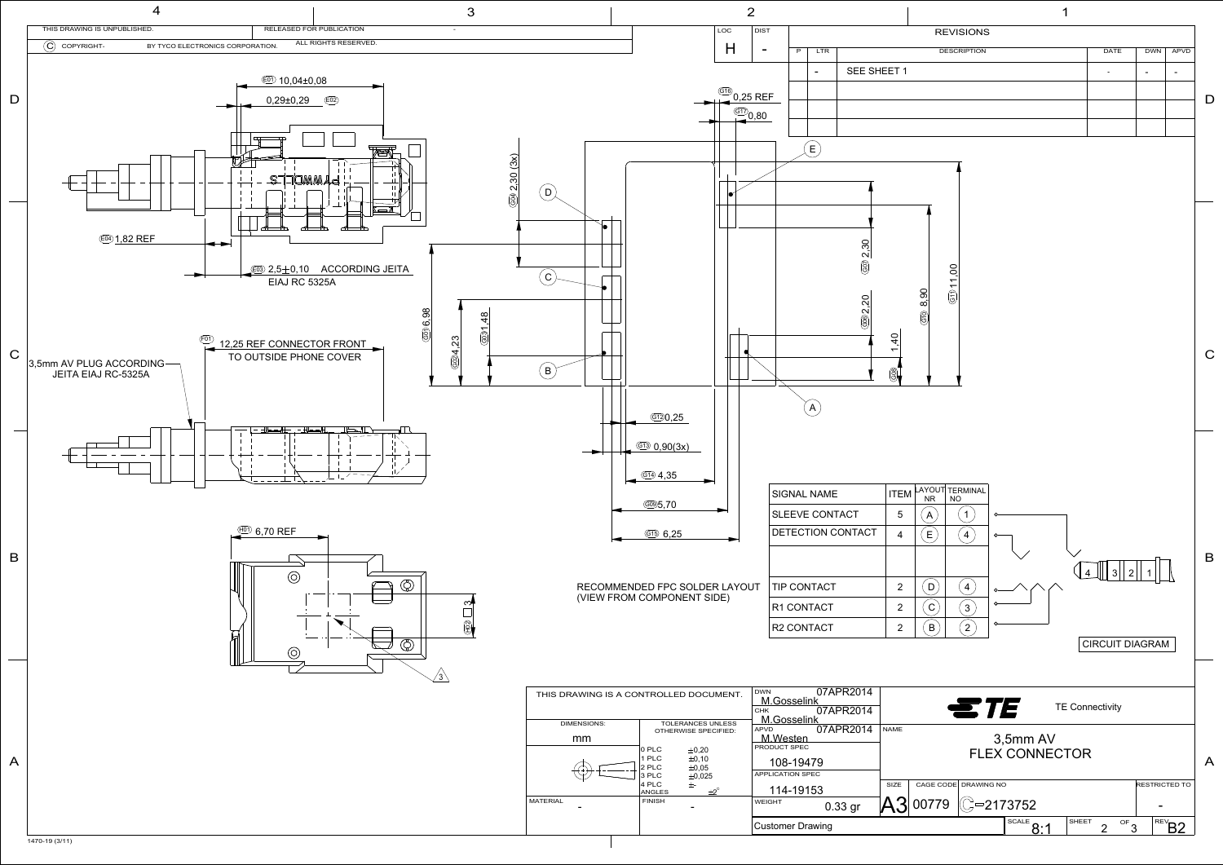

|                |                   |                      |                         |                              |                           |     |                               | н.    |                                                  |                          |                          |   |
|----------------|-------------------|----------------------|-------------------------|------------------------------|---------------------------|-----|-------------------------------|-------|--------------------------------------------------|--------------------------|--------------------------|---|
|                |                   |                      |                         |                              | <b>REVISIONS</b>          |     |                               |       |                                                  |                          |                          |   |
| P              | LTR               |                      |                         |                              | <b>DESCRIPTION</b>        |     |                               |       | DATE                                             | <b>DWN</b>               | <b>APVD</b>              |   |
|                |                   | SEE SHEET 1          |                         |                              |                           |     |                               |       | $\overline{\phantom{a}}$                         | $\overline{\phantom{0}}$ | $\overline{\phantom{a}}$ |   |
|                |                   |                      |                         |                              |                           |     |                               |       |                                                  |                          |                          |   |
|                |                   |                      |                         |                              |                           |     |                               |       |                                                  |                          |                          | D |
|                |                   |                      |                         |                              |                           |     |                               |       |                                                  |                          |                          |   |
|                | E                 |                      |                         |                              |                           |     |                               |       |                                                  |                          |                          |   |
|                |                   |                      |                         |                              |                           |     |                               |       |                                                  |                          |                          |   |
|                |                   |                      |                         |                              |                           |     |                               |       |                                                  |                          |                          |   |
|                |                   |                      |                         |                              |                           |     |                               |       |                                                  |                          |                          |   |
|                |                   |                      |                         |                              |                           |     |                               |       |                                                  |                          |                          |   |
|                |                   |                      |                         |                              |                           |     |                               |       |                                                  |                          |                          |   |
|                |                   | $\circledcirc$ 2,30  |                         |                              |                           |     |                               |       |                                                  |                          |                          |   |
|                |                   |                      |                         |                              |                           |     |                               |       |                                                  |                          |                          |   |
|                |                   |                      |                         | 8,90                         | (61)11,00                 |     |                               |       |                                                  |                          |                          |   |
|                |                   | @02,20               |                         | ලි                           |                           |     |                               |       |                                                  |                          |                          |   |
|                |                   |                      |                         |                              |                           |     |                               |       |                                                  |                          |                          |   |
|                |                   |                      | $\overline{4}$          |                              |                           |     |                               |       |                                                  |                          |                          | С |
|                |                   |                      | $\circledS$             |                              |                           |     |                               |       |                                                  |                          |                          |   |
|                |                   |                      |                         |                              |                           |     |                               |       |                                                  |                          |                          |   |
|                |                   |                      |                         |                              |                           |     |                               |       |                                                  |                          |                          |   |
|                |                   |                      |                         |                              |                           |     |                               |       |                                                  |                          |                          |   |
|                |                   |                      |                         |                              |                           |     |                               |       |                                                  |                          |                          |   |
|                |                   |                      |                         |                              |                           |     |                               |       |                                                  |                          |                          |   |
|                |                   |                      |                         |                              |                           |     |                               |       |                                                  |                          |                          |   |
|                | AL NAME           |                      | <b>ITEM</b>             | LAYOUT TERMINAL<br><b>NR</b> | <b>NO</b>                 |     |                               |       |                                                  |                          |                          |   |
|                | <b>VE CONTACT</b> |                      | 5                       | A                            | $\mathbf{1}$              | ᡐ   |                               |       |                                                  |                          |                          |   |
|                |                   | <b>CTION CONTACT</b> | 4                       | E                            | $\overline{\mathbf{4}}$   | o   |                               |       |                                                  |                          |                          |   |
|                |                   |                      |                         |                              |                           |     |                               |       |                                                  |                          |                          | B |
|                |                   |                      |                         |                              |                           |     |                               |       | $\mathbf{3}$<br>$\overline{2}$<br>$\overline{4}$ |                          |                          |   |
|                | ONTACT            |                      | $\overline{2}$          | $\mathsf{D}$                 | $\overline{\mathbf{4}}$   |     |                               |       |                                                  |                          |                          |   |
|                | <b>ONTACT</b>     |                      | 2                       | $\mathbf{C}$                 | $\ensuremath{\mathsf{3}}$ |     |                               |       |                                                  |                          |                          |   |
|                | <b>ONTACT</b>     |                      | $\overline{\mathbf{c}}$ | $\overline{B}$               | $\sqrt{2}$                | ᡐ   |                               |       |                                                  |                          |                          |   |
|                |                   |                      |                         |                              |                           |     |                               |       | CIRCUIT DIAGRAM                                  |                          |                          |   |
|                |                   |                      |                         |                              |                           |     |                               |       |                                                  |                          |                          |   |
|                |                   |                      |                         |                              |                           |     |                               |       |                                                  |                          |                          |   |
| elink          |                   | 07APR2014            |                         |                              |                           | ETE |                               |       | <b>TE Connectivity</b>                           |                          |                          |   |
| elink          |                   | 07APR2014            |                         |                              |                           |     |                               |       |                                                  |                          |                          |   |
| <u>en</u>      |                   | 07APR2014            | <b>NAME</b>             |                              |                           |     | 3,5mm AV                      |       |                                                  |                          |                          |   |
| PEC            |                   |                      |                         |                              |                           |     | <b>FLEX CONNECTOR</b>         |       |                                                  |                          |                          | A |
| 9479<br>V SPEC |                   |                      |                         |                              |                           |     |                               |       |                                                  |                          |                          |   |
| 9153           |                   |                      | SIZE                    | CAGE CODE DRAWING NO         |                           |     |                               |       |                                                  | RESTRICTED TO            |                          |   |
|                |                   | 0.33 gr              |                         | 00779                        |                           |     | $\odot$ –2173752              |       |                                                  |                          |                          |   |
|                | Drawing           |                      |                         |                              |                           |     | $\overline{\text{scale}}$ 8:1 | SHEET | $\frac{1}{\sqrt{10}}$<br>$\overline{c}$          |                          | $\sqrt{\text{REV}}$ B2   |   |
|                |                   |                      |                         |                              |                           |     |                               |       |                                                  |                          |                          |   |